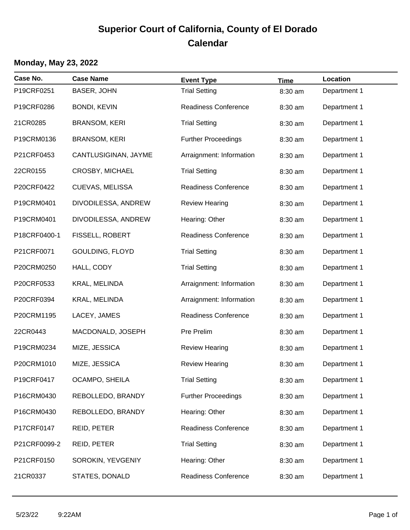## **Superior Court of California, County of El Dorado Calendar**

## **Monday, May 23, 2022**

| Case No.     | <b>Case Name</b>       | <b>Event Type</b>           | <b>Time</b> | Location     |
|--------------|------------------------|-----------------------------|-------------|--------------|
| P19CRF0251   | <b>BASER, JOHN</b>     | <b>Trial Setting</b>        | 8:30 am     | Department 1 |
| P19CRF0286   | <b>BONDI, KEVIN</b>    | <b>Readiness Conference</b> | 8:30 am     | Department 1 |
| 21CR0285     | <b>BRANSOM, KERI</b>   | <b>Trial Setting</b>        | 8:30 am     | Department 1 |
| P19CRM0136   | <b>BRANSOM, KERI</b>   | <b>Further Proceedings</b>  | 8:30 am     | Department 1 |
| P21CRF0453   | CANTLUSIGINAN, JAYME   | Arraignment: Information    | 8:30 am     | Department 1 |
| 22CR0155     | <b>CROSBY, MICHAEL</b> | <b>Trial Setting</b>        | 8:30 am     | Department 1 |
| P20CRF0422   | CUEVAS, MELISSA        | <b>Readiness Conference</b> | 8:30 am     | Department 1 |
| P19CRM0401   | DIVODILESSA, ANDREW    | <b>Review Hearing</b>       | 8:30 am     | Department 1 |
| P19CRM0401   | DIVODILESSA, ANDREW    | Hearing: Other              | 8:30 am     | Department 1 |
| P18CRF0400-1 | FISSELL, ROBERT        | <b>Readiness Conference</b> | 8:30 am     | Department 1 |
| P21CRF0071   | GOULDING, FLOYD        | <b>Trial Setting</b>        | 8:30 am     | Department 1 |
| P20CRM0250   | HALL, CODY             | <b>Trial Setting</b>        | 8:30 am     | Department 1 |
| P20CRF0533   | KRAL, MELINDA          | Arraignment: Information    | 8:30 am     | Department 1 |
| P20CRF0394   | KRAL, MELINDA          | Arraignment: Information    | 8:30 am     | Department 1 |
| P20CRM1195   | LACEY, JAMES           | <b>Readiness Conference</b> | 8:30 am     | Department 1 |
| 22CR0443     | MACDONALD, JOSEPH      | Pre Prelim                  | 8:30 am     | Department 1 |
| P19CRM0234   | MIZE, JESSICA          | <b>Review Hearing</b>       | 8:30 am     | Department 1 |
| P20CRM1010   | MIZE, JESSICA          | <b>Review Hearing</b>       | 8:30 am     | Department 1 |
| P19CRF0417   | OCAMPO, SHEILA         | <b>Trial Setting</b>        | 8:30 am     | Department 1 |
| P16CRM0430   | REBOLLEDO, BRANDY      | <b>Further Proceedings</b>  | 8:30 am     | Department 1 |
| P16CRM0430   | REBOLLEDO, BRANDY      | Hearing: Other              | 8:30 am     | Department 1 |
| P17CRF0147   | REID, PETER            | <b>Readiness Conference</b> | 8:30 am     | Department 1 |
| P21CRF0099-2 | REID, PETER            | <b>Trial Setting</b>        | 8:30 am     | Department 1 |
| P21CRF0150   | SOROKIN, YEVGENIY      | Hearing: Other              | 8:30 am     | Department 1 |
| 21CR0337     | STATES, DONALD         | <b>Readiness Conference</b> | 8:30 am     | Department 1 |